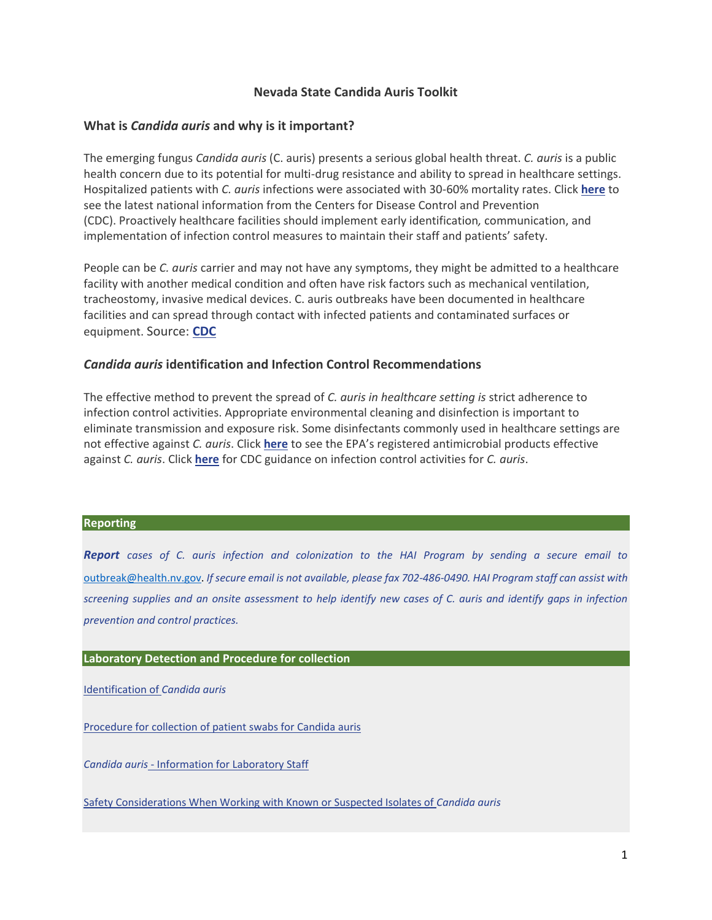## **Nevada State Candida Auris Toolkit**

## **What is** *Candida auris* **and why is it important?**

The emerging fungus *Candida auris* (C. auris) presents a serious global health threat. *C. auris* is a public health concern due to its potential for multi-drug resistance and ability to spread in healthcare settings. Hospitalized patients with *C. auris* infections were associated with 30-60% mortality rates. Click **[here](https://www.cdc.gov/fungal/candida-auris/index.html)** to see the latest national information from the Centers for Disease Control and Prevention (CDC). Proactively healthcare facilities should implement early identification*,* communication, and implementation of infection control measures to maintain their staff and patients' safety.

People can be *C. auris* carrier and may not have any symptoms, they might be admitted to a healthcare facility with another medical condition and often have risk factors such as mechanical ventilation, tracheostomy, invasive medical devices. C. auris outbreaks have been documented in healthcare facilities and can spread through contact with infected patients and contaminated surfaces or equipment. Source: **[CDC](https://www.cdc.gov/fungal/candida-auris/index.html)** 

## *Candida auris* **identification and Infection Control Recommendations**

The effective method to prevent the spread of *C. auris in healthcare setting is* strict adherence to infection control activities. Appropriate environmental cleaning and disinfection is important to eliminate transmission and exposure risk. Some disinfectants commonly used in healthcare settings are not effective against *C. auris*. Click **[here](https://www.epa.gov/pesticide-registration/list-p-antimicrobial-products-registered-epa-claims-against-candida-auris)** to see the EPA's registered antimicrobial products effective against *C. auris*. Click **[here](https://www.cdc.gov/fungal/candida-auris/c-auris-infection-control.html)** for CDC guidance on infection control activities for *C. auris*.

#### **Reporting**

*Report cases of C. auris infection and colonization to the HAI Program by sending a secure email to*  [outbreak@health.nv.gov.](mailto:outbreak@health.nv.gov) *If secure email is not available, please fax 702-486-0490. HAI Program staff can assist with screening supplies and an onsite assessment to help identify new cases of C. auris and identify gaps in infection prevention and control practices.* 

### **Laboratory Detection and Procedure for collection**

[Identification of](https://www.cdc.gov/fungal/candida-auris/recommendations.html) *Candida auris* 

[Procedure for collection of patient swabs for Candida auris](https://www.cdc.gov/fungal/candida-auris/pdf/Candida_auris_sampling_job_aid-H.pdf) 

*Candida auris* - [Information for Laboratory Staff](https://www.cdc.gov/fungal/candida-auris/fact-sheets/fact-sheet-lab-staff.html) 

[Safety Considerations When Working with Known or Suspected Isolates of](https://www.cdc.gov/fungal/candida-auris/c-auris-lab-safety.html) *Candida auris*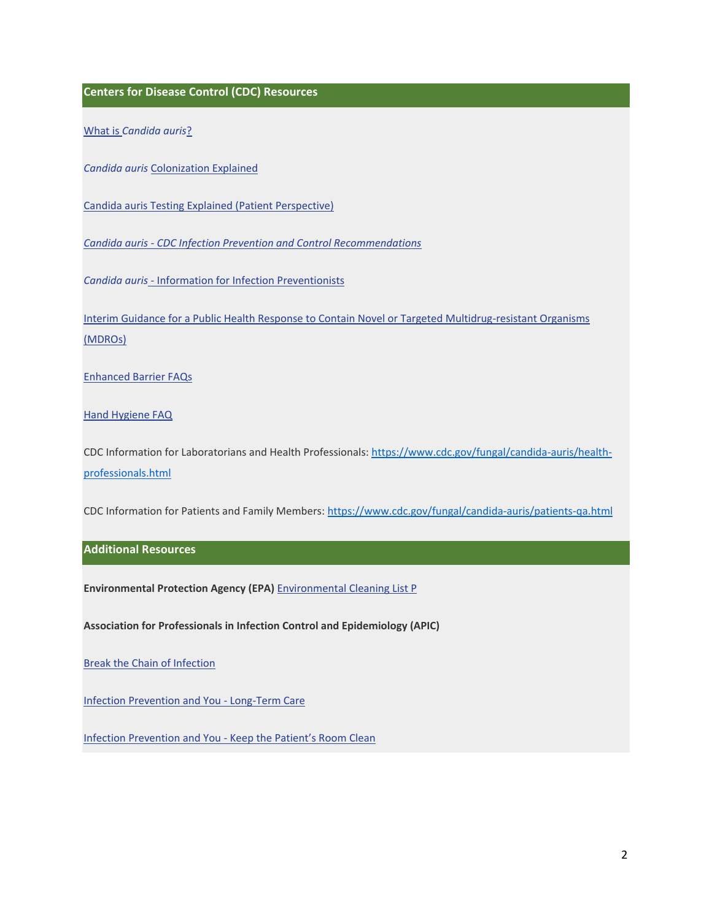**Centers for Disease Control (CDC) Resources** 

What is *[Candida auris](https://www.cdc.gov/fungal/candida-auris/c-auris-drug-resistant.html)*?

*Candida auris* [Colonization Explained](https://www.cdc.gov/fungal/candida-auris/pdf/Candida_auris_Colonization_H.pdf) 

[Candida auris Testing Explained \(Patient Perspective\)](https://www.cdc.gov/fungal/candida-auris/pdf/C_auris_Patient__Testing_H.pdf) 

*Candida auris - [CDC Infection Prevention and Control Recommendations](https://www.cdc.gov/fungal/candida-auris/c-auris-infection-control.html)* 

*Candida auris* - [Information for Infection Preventionists](https://www.cdc.gov/fungal/candida-auris/fact-sheets/cdc-message-infection-experts.html) 

[Interim Guidance for a Public Health Response to Contain Novel or Targeted Multidrug-resistant Organisms](https://www.in.gov/health/erc/files/Candida-Screening-FAQs.pdf)  [\(MDROs\)](https://www.in.gov/health/erc/files/Candida-Screening-FAQs.pdf) 

[Enhanced Barrier FAQs](https://www.cdc.gov/hai/containment/faqs.html) 

[Hand Hygiene FAQ](https://www.cdc.gov/handwashing/faqs.html#hand-hygiene-and-healthcare-settings) 

CDC Information for Laboratorians and Health Professionals[: https://www.cdc.gov/fungal/candida-auris/health](https://www.cdc.gov/fungal/candida-auris/health-professionals.html)[professionals.html](https://www.cdc.gov/fungal/candida-auris/health-professionals.html) 

CDC Information for Patients and Family Members[: https://www.cdc.gov/fungal/candida-auris/patients-qa.html](https://www.cdc.gov/fungal/candida-auris/patients-qa.html) 

## **Additional Resources**

**Environmental Protection Agency (EPA)** [Environmental Cleaning List P](https://www.epa.gov/pesticide-registration/list-p-antimicrobial-products-registered-epa-claims-against-candida-auris) 

**Association for Professionals in Infection Control and Epidemiology (APIC)** 

[Break the Chain of Infection](https://infectionpreventionandyou.org/wp-content/uploads/2016/09/Break-the-Chain-of-Infection.pdf) 

[Infection Prevention and You -](https://infectionpreventionandyou.org/settings-of-care/long-term-care/) Long-Term Care

Infection Prevention and You - [Keep the Patient's Room Clean](https://infectionpreventionandyou.org/protect-your-patients/keep-the-patients-room-and-equipment-clean/)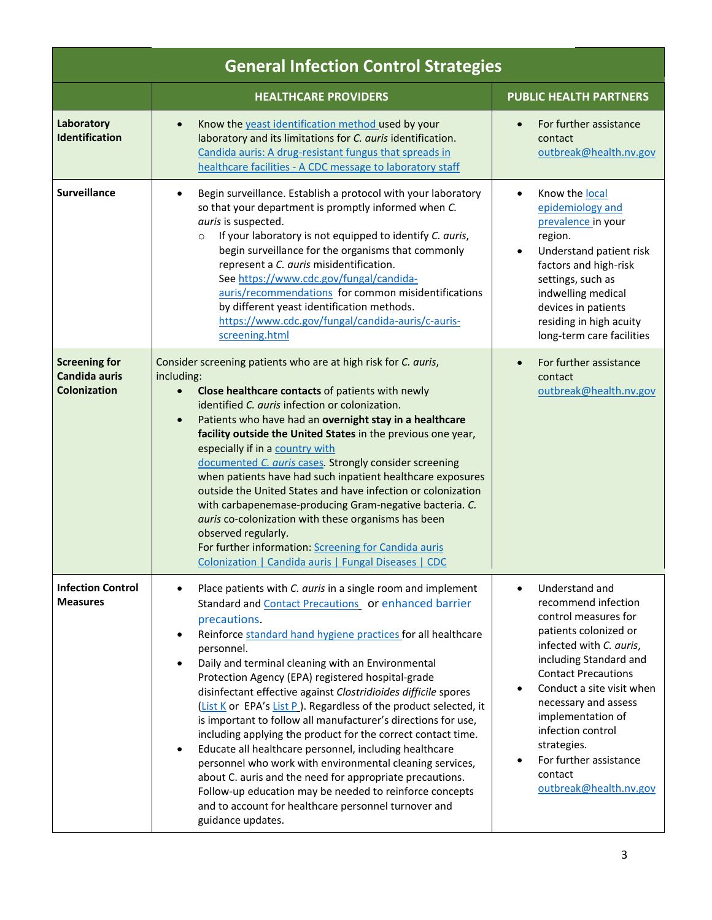| <b>General Infection Control Strategies</b>                         |                                                                                                                                                                                                                                                                                                                                                                                                                                                                                                                                                                                                                                                                                                                                                                                                                                                                                                                                                                     |                                                                                                                                                                                                                                                                                                                                                        |
|---------------------------------------------------------------------|---------------------------------------------------------------------------------------------------------------------------------------------------------------------------------------------------------------------------------------------------------------------------------------------------------------------------------------------------------------------------------------------------------------------------------------------------------------------------------------------------------------------------------------------------------------------------------------------------------------------------------------------------------------------------------------------------------------------------------------------------------------------------------------------------------------------------------------------------------------------------------------------------------------------------------------------------------------------|--------------------------------------------------------------------------------------------------------------------------------------------------------------------------------------------------------------------------------------------------------------------------------------------------------------------------------------------------------|
|                                                                     | <b>HEALTHCARE PROVIDERS</b>                                                                                                                                                                                                                                                                                                                                                                                                                                                                                                                                                                                                                                                                                                                                                                                                                                                                                                                                         | <b>PUBLIC HEALTH PARTNERS</b>                                                                                                                                                                                                                                                                                                                          |
| Laboratory<br><b>Identification</b>                                 | Know the yeast identification method used by your<br>$\bullet$<br>laboratory and its limitations for C. auris identification.<br>Candida auris: A drug-resistant fungus that spreads in<br>healthcare facilities - A CDC message to laboratory staff                                                                                                                                                                                                                                                                                                                                                                                                                                                                                                                                                                                                                                                                                                                | For further assistance<br>contact<br>outbreak@health.nv.gov                                                                                                                                                                                                                                                                                            |
| <b>Surveillance</b>                                                 | Begin surveillance. Establish a protocol with your laboratory<br>٠<br>so that your department is promptly informed when C.<br>auris is suspected.<br>If your laboratory is not equipped to identify C. auris,<br>$\circ$<br>begin surveillance for the organisms that commonly<br>represent a C. auris misidentification.<br>See https://www.cdc.gov/fungal/candida-<br>auris/recommendations for common misidentifications<br>by different yeast identification methods.<br>https://www.cdc.gov/fungal/candida-auris/c-auris-<br>screening.html                                                                                                                                                                                                                                                                                                                                                                                                                    | Know the local<br>epidemiology and<br>prevalence in your<br>region.<br>Understand patient risk<br>factors and high-risk<br>settings, such as<br>indwelling medical<br>devices in patients<br>residing in high acuity<br>long-term care facilities                                                                                                      |
| <b>Screening for</b><br><b>Candida auris</b><br><b>Colonization</b> | Consider screening patients who are at high risk for C. auris,<br>including:<br>Close healthcare contacts of patients with newly<br>$\bullet$<br>identified C. auris infection or colonization.<br>Patients who have had an overnight stay in a healthcare<br>$\bullet$<br>facility outside the United States in the previous one year,<br>especially if in a country with<br>documented C. auris cases. Strongly consider screening<br>when patients have had such inpatient healthcare exposures<br>outside the United States and have infection or colonization<br>with carbapenemase-producing Gram-negative bacteria. C.<br>auris co-colonization with these organisms has been<br>observed regularly.<br>For further information: Screening for Candida auris<br>Colonization   Candida auris   Fungal Diseases   CDC                                                                                                                                         | For further assistance<br>$\bullet$<br>contact<br>outbreak@health.nv.gov                                                                                                                                                                                                                                                                               |
| <b>Infection Control</b><br><b>Measures</b>                         | Place patients with C. auris in a single room and implement<br>Standard and Contact Precautions or enhanced barrier<br>precautions.<br>Reinforce standard hand hygiene practices for all healthcare<br>$\bullet$<br>personnel.<br>Daily and terminal cleaning with an Environmental<br>$\bullet$<br>Protection Agency (EPA) registered hospital-grade<br>disinfectant effective against Clostridioides difficile spores<br>(List K or EPA's List P). Regardless of the product selected, it<br>is important to follow all manufacturer's directions for use,<br>including applying the product for the correct contact time.<br>Educate all healthcare personnel, including healthcare<br>$\bullet$<br>personnel who work with environmental cleaning services,<br>about C. auris and the need for appropriate precautions.<br>Follow-up education may be needed to reinforce concepts<br>and to account for healthcare personnel turnover and<br>guidance updates. | Understand and<br>recommend infection<br>control measures for<br>patients colonized or<br>infected with C. auris,<br>including Standard and<br><b>Contact Precautions</b><br>Conduct a site visit when<br>necessary and assess<br>implementation of<br>infection control<br>strategies.<br>For further assistance<br>contact<br>outbreak@health.nv.gov |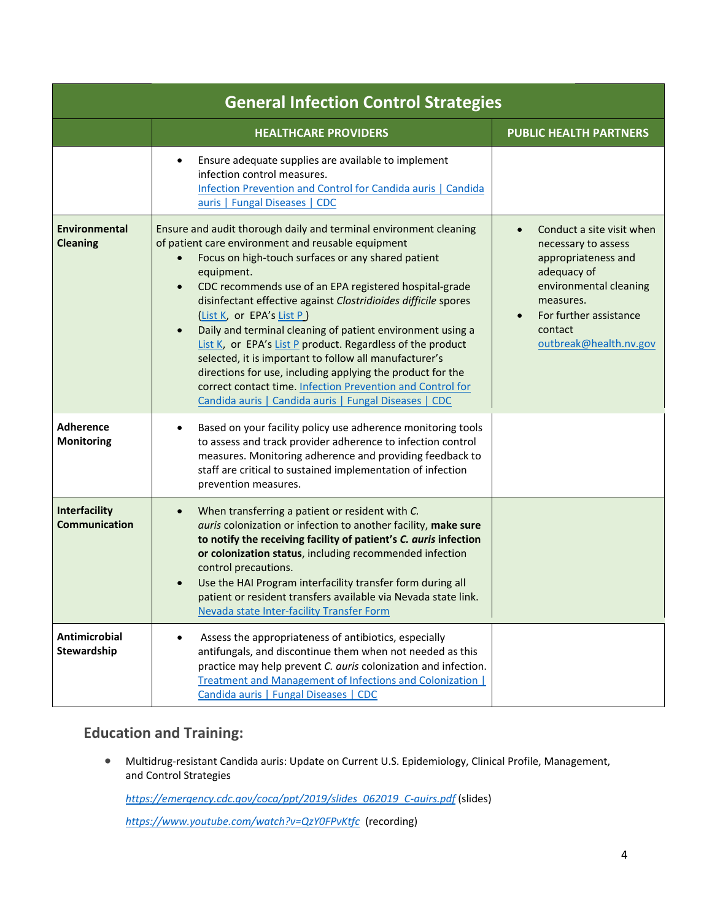| <b>General Infection Control Strategies</b> |                                                                                                                                                                                                                                                                                                                                                                                                                                                                                                                                                                                                                                                                                                                                                           |                                                                                                                                                                                              |
|---------------------------------------------|-----------------------------------------------------------------------------------------------------------------------------------------------------------------------------------------------------------------------------------------------------------------------------------------------------------------------------------------------------------------------------------------------------------------------------------------------------------------------------------------------------------------------------------------------------------------------------------------------------------------------------------------------------------------------------------------------------------------------------------------------------------|----------------------------------------------------------------------------------------------------------------------------------------------------------------------------------------------|
|                                             | <b>HEALTHCARE PROVIDERS</b>                                                                                                                                                                                                                                                                                                                                                                                                                                                                                                                                                                                                                                                                                                                               | <b>PUBLIC HEALTH PARTNERS</b>                                                                                                                                                                |
|                                             | Ensure adequate supplies are available to implement<br>infection control measures.<br>Infection Prevention and Control for Candida auris   Candida<br>auris   Fungal Diseases   CDC                                                                                                                                                                                                                                                                                                                                                                                                                                                                                                                                                                       |                                                                                                                                                                                              |
| <b>Environmental</b><br><b>Cleaning</b>     | Ensure and audit thorough daily and terminal environment cleaning<br>of patient care environment and reusable equipment<br>Focus on high-touch surfaces or any shared patient<br>equipment.<br>CDC recommends use of an EPA registered hospital-grade<br>$\bullet$<br>disinfectant effective against Clostridioides difficile spores<br>(List K, or EPA's List P)<br>Daily and terminal cleaning of patient environment using a<br>$\bullet$<br>List K, or EPA's List P product. Regardless of the product<br>selected, it is important to follow all manufacturer's<br>directions for use, including applying the product for the<br>correct contact time. Infection Prevention and Control for<br>Candida auris   Candida auris   Fungal Diseases   CDC | Conduct a site visit when<br>necessary to assess<br>appropriateness and<br>adequacy of<br>environmental cleaning<br>measures.<br>For further assistance<br>contact<br>outbreak@health.nv.gov |
| <b>Adherence</b><br><b>Monitoring</b>       | Based on your facility policy use adherence monitoring tools<br>$\bullet$<br>to assess and track provider adherence to infection control<br>measures. Monitoring adherence and providing feedback to<br>staff are critical to sustained implementation of infection<br>prevention measures.                                                                                                                                                                                                                                                                                                                                                                                                                                                               |                                                                                                                                                                                              |
| Interfacility<br><b>Communication</b>       | When transferring a patient or resident with C.<br>$\bullet$<br>auris colonization or infection to another facility, make sure<br>to notify the receiving facility of patient's C. auris infection<br>or colonization status, including recommended infection<br>control precautions.<br>Use the HAI Program interfacility transfer form during all<br>patient or resident transfers available via Nevada state link.<br>Nevada state Inter-facility Transfer Form                                                                                                                                                                                                                                                                                        |                                                                                                                                                                                              |
| <b>Antimicrobial</b><br>Stewardship         | Assess the appropriateness of antibiotics, especially<br>antifungals, and discontinue them when not needed as this<br>practice may help prevent C. auris colonization and infection.<br><b>Treatment and Management of Infections and Colonization  </b><br>Candida auris   Fungal Diseases   CDC                                                                                                                                                                                                                                                                                                                                                                                                                                                         |                                                                                                                                                                                              |

# **Education and Training:**

• Multidrug-resistant Candida auris: Update on Current U.S. Epidemiology, Clinical Profile, Management, and Control Strategies

*[https://emergency.cdc.gov/coca/ppt/2019/slides\\_062019\\_C-auirs.pdf](https://emergency.cdc.gov/coca/ppt/2019/slides_062019_C-auirs.pdf)* (slides)

*<https://www.youtube.com/watch?v=QzY0FPvKtfc>*(recording)